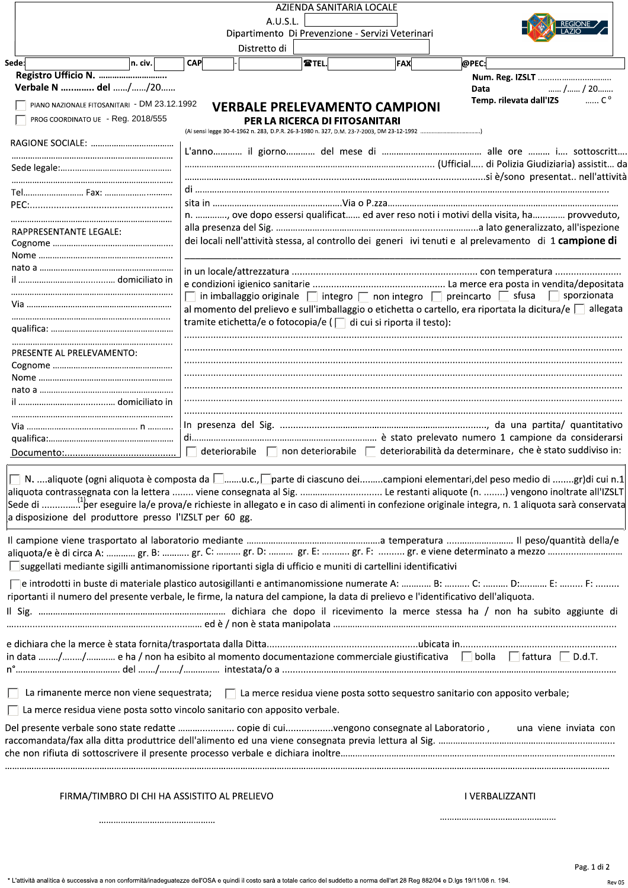|                                                                                                                                     |            |              | AZIENDA SANITARIA LOCALE       |                                                                   |                                                                                                                                                       |
|-------------------------------------------------------------------------------------------------------------------------------------|------------|--------------|--------------------------------|-------------------------------------------------------------------|-------------------------------------------------------------------------------------------------------------------------------------------------------|
|                                                                                                                                     |            |              | A.U.S.L.                       |                                                                   |                                                                                                                                                       |
|                                                                                                                                     |            |              |                                | Dipartimento Di Prevenzione - Servizi Veterinari                  |                                                                                                                                                       |
|                                                                                                                                     |            | Distretto di |                                |                                                                   |                                                                                                                                                       |
| Sede:<br>n. civ.                                                                                                                    | <b>CAP</b> |              | <b>TEL.</b>                    | FAX                                                               | @PEC:                                                                                                                                                 |
| Verbale N  del //20                                                                                                                 |            |              |                                |                                                                   | Num. Reg. IZSLT<br>/ / 20<br>Data                                                                                                                     |
| PIANO NAZIONALE FITOSANITARI - DM 23.12.1992                                                                                        |            |              |                                | <b>VERBALE PRELEVAMENTO CAMPIONI</b>                              | $\ldots$ C <sup>o</sup><br>Temp. rilevata dall'IZS                                                                                                    |
| PROG COORDINATO UE - Reg. 2018/555                                                                                                  |            |              | PER LA RICERCA DI FITOSANITARI |                                                                   |                                                                                                                                                       |
|                                                                                                                                     |            |              |                                |                                                                   |                                                                                                                                                       |
|                                                                                                                                     |            |              |                                |                                                                   |                                                                                                                                                       |
|                                                                                                                                     |            |              |                                |                                                                   |                                                                                                                                                       |
|                                                                                                                                     |            |              |                                |                                                                   |                                                                                                                                                       |
|                                                                                                                                     |            |              |                                |                                                                   |                                                                                                                                                       |
|                                                                                                                                     |            |              |                                |                                                                   | n. , ove dopo essersi qualificat ed aver reso noti i motivi della visita, ha provveduto,                                                              |
|                                                                                                                                     |            |              |                                |                                                                   |                                                                                                                                                       |
| RAPPRESENTANTE LEGALE:                                                                                                              |            |              |                                |                                                                   | dei locali nell'attività stessa, al controllo dei generi ivi tenuti e al prelevamento di 1 campione di                                                |
|                                                                                                                                     |            |              |                                |                                                                   |                                                                                                                                                       |
|                                                                                                                                     |            |              |                                |                                                                   |                                                                                                                                                       |
|                                                                                                                                     |            |              |                                |                                                                   |                                                                                                                                                       |
|                                                                                                                                     |            |              |                                |                                                                   | in imballaggio originale $\Box$ integro $\Box$ non integro $\Box$ preincarto $\Box$ sfusa $\Box$ sporzionata                                          |
|                                                                                                                                     |            |              |                                |                                                                   | al momento del prelievo e sull'imballaggio o etichetta o cartello, era riportata la dicitura/e $\Box$ allegata                                        |
|                                                                                                                                     |            |              |                                | tramite etichetta/e o fotocopia/e (□ di cui si riporta il testo): |                                                                                                                                                       |
|                                                                                                                                     |            |              |                                |                                                                   |                                                                                                                                                       |
| PRESENTE AL PRELEVAMENTO:                                                                                                           |            |              |                                |                                                                   |                                                                                                                                                       |
|                                                                                                                                     |            |              |                                |                                                                   |                                                                                                                                                       |
|                                                                                                                                     |            |              |                                |                                                                   |                                                                                                                                                       |
|                                                                                                                                     |            |              |                                |                                                                   |                                                                                                                                                       |
|                                                                                                                                     |            |              |                                |                                                                   |                                                                                                                                                       |
|                                                                                                                                     |            |              |                                |                                                                   |                                                                                                                                                       |
|                                                                                                                                     |            |              |                                |                                                                   | deteriorabile $\Box$ non deteriorabile $\Box$ deteriorabilità da determinare, che è stato suddiviso in:                                               |
|                                                                                                                                     |            |              |                                |                                                                   |                                                                                                                                                       |
|                                                                                                                                     |            |              |                                |                                                                   | $\Box$ N. aliquote (ogni aliquota è composta da $\Box$ u.c., $\Box$ parte di ciascuno deicampioni elementari,del peso medio di gr)di cui n.1          |
|                                                                                                                                     |            |              |                                |                                                                   | aliquota contrassegnata con la lettera  viene consegnata al Sig.  Le restanti aliquote (n. ) vengono inoltrate all'IZSLT                              |
|                                                                                                                                     |            |              |                                |                                                                   | $ $ Sede di …………"per eseguire la/e prova/e richieste in allegato e in caso di alimenti in confezione originale integra, n. 1 aliquota sarà conservata |
| a disposizione del produttore presso l'IZSLT per 60 gg.                                                                             |            |              |                                |                                                                   |                                                                                                                                                       |
|                                                                                                                                     |            |              |                                |                                                                   |                                                                                                                                                       |
|                                                                                                                                     |            |              |                                |                                                                   |                                                                                                                                                       |
| □suggellati mediante sigilli antimanomissione riportanti sigla di ufficio e muniti di cartellini identificativi                     |            |              |                                |                                                                   |                                                                                                                                                       |
|                                                                                                                                     |            |              |                                |                                                                   |                                                                                                                                                       |
| riportanti il numero del presente verbale, le firme, la natura del campione, la data di prelievo e l'identificativo dell'aliquota.  |            |              |                                |                                                                   |                                                                                                                                                       |
|                                                                                                                                     |            |              |                                |                                                                   |                                                                                                                                                       |
|                                                                                                                                     |            |              |                                |                                                                   |                                                                                                                                                       |
|                                                                                                                                     |            |              |                                |                                                                   |                                                                                                                                                       |
| in data // e ha / non ha esibito al momento documentazione commerciale giustificativa   bolla   fattura   D.d.T.                    |            |              |                                |                                                                   |                                                                                                                                                       |
|                                                                                                                                     |            |              |                                |                                                                   |                                                                                                                                                       |
|                                                                                                                                     |            |              |                                |                                                                   |                                                                                                                                                       |
| La rimanente merce non viene sequestrata; $\Box$ La merce residua viene posta sotto sequestro sanitario con apposito verbale;<br>l. |            |              |                                |                                                                   |                                                                                                                                                       |
| La merce residua viene posta sotto vincolo sanitario con apposito verbale.                                                          |            |              |                                |                                                                   |                                                                                                                                                       |
|                                                                                                                                     |            |              |                                |                                                                   | una viene inviata con                                                                                                                                 |
|                                                                                                                                     |            |              |                                |                                                                   |                                                                                                                                                       |
|                                                                                                                                     |            |              |                                |                                                                   |                                                                                                                                                       |
|                                                                                                                                     |            |              |                                |                                                                   |                                                                                                                                                       |
| FIRMA/TIMBRO DI CHI HA ASSISTITO AL PRELIEVO                                                                                        |            |              |                                |                                                                   | I VERBALIZZANTI                                                                                                                                       |
|                                                                                                                                     |            |              |                                |                                                                   |                                                                                                                                                       |
|                                                                                                                                     |            |              |                                |                                                                   |                                                                                                                                                       |
|                                                                                                                                     |            |              |                                |                                                                   |                                                                                                                                                       |

Rev 05